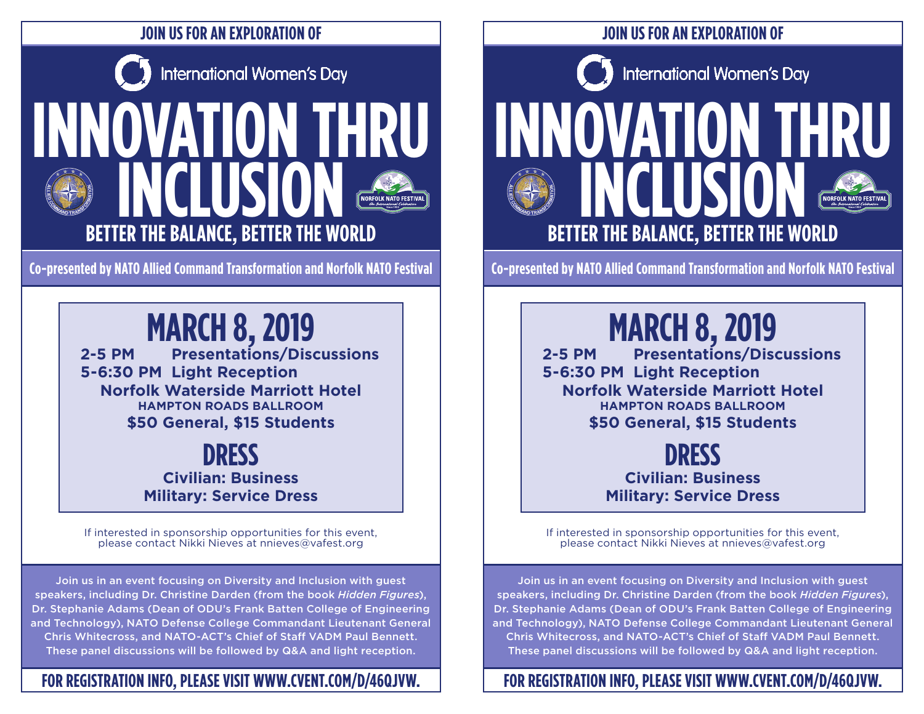### **JOIN US FOR AN EXPLORATION OF**



**Co-presented by NATO Allied Command Transformation and Norfolk NATO Festival**

**MARCH 8, 2019 2-5 PM Presentations/Discussions 5-6:30 PM Light Reception Norfolk Waterside Marriott Hotel HAMPTON ROADS BALLROOM \$50 General, \$15 Students**

> **DRESS Civilian: Business Military: Service Dress**

If interested in sponsorship opportunities for this event, please contact Nikki Nieves at nnieves@vafest.org

Join us in an event focusing on Diversity and Inclusion with guest speakers, including Dr. Christine Darden (from the book *Hidden Figures*), Dr. Stephanie Adams (Dean of ODU's Frank Batten College of Engineering and Technology), NATO Defense College Commandant Lieutenant General Chris Whitecross, and NATO-ACT's Chief of Staff VADM Paul Bennett. These panel discussions will be followed by Q&A and light reception.

## **FOR REGISTRATION INFO, PLEASE VISIT WWW.CVENT.COM/D/46QJVW.**

#### **JOIN US FOR AN EXPLORATION OF**





**Co-presented by NATO Allied Command Transformation and Norfolk NATO Festival**

# **MARCH 8, 2019**

**2-5 PM Presentations/Discussions 5-6:30 PM Light Reception Norfolk Waterside Marriott Hotel HAMPTON ROADS BALLROOM \$50 General, \$15 Students**

> **DRESS Civilian: Business Military: Service Dress**

If interested in sponsorship opportunities for this event, please contact Nikki Nieves at nnieves@vafest.org

Join us in an event focusing on Diversity and Inclusion with guest speakers, including Dr. Christine Darden (from the book *Hidden Figures*), Dr. Stephanie Adams (Dean of ODU's Frank Batten College of Engineering and Technology), NATO Defense College Commandant Lieutenant General Chris Whitecross, and NATO-ACT's Chief of Staff VADM Paul Bennett. These panel discussions will be followed by Q&A and light reception.

# **FOR REGISTRATION INFO, PLEASE VISIT WWW.CVENT.COM/D/46QJVW.**